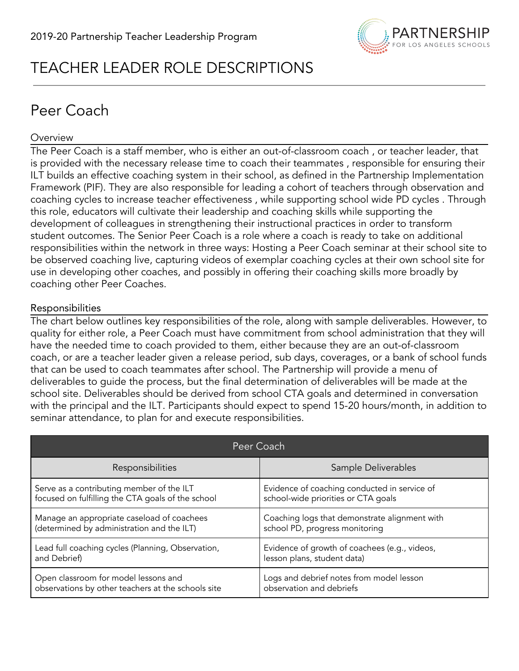

# TEACHER LEADER ROLE DESCRIPTIONS

# Peer Coach

## **Overview**

The Peer Coach is a staff member, who is either an out-of-classroom coach , or teacher leader, that is provided with the necessary release time to coach their teammates , responsible for ensuring their ILT builds an effective coaching system in their school, as defined in the Partnership Implementation Framework (PIF). They are also responsible for leading a cohort of teachers through observation and coaching cycles to increase teacher effectiveness , while supporting school wide PD cycles . Through this role, educators will cultivate their leadership and coaching skills while supporting the development of colleagues in strengthening their instructional practices in order to transform student outcomes. The Senior Peer Coach is a role where a coach is ready to take on additional responsibilities within the network in three ways: Hosting a Peer Coach seminar at their school site to be observed coaching live, capturing videos of exemplar coaching cycles at their own school site for use in developing other coaches, and possibly in offering their coaching skills more broadly by coaching other Peer Coaches.

## Responsibilities

The chart below outlines key responsibilities of the role, along with sample deliverables. However, to quality for either role, a Peer Coach must have commitment from school administration that they will have the needed time to coach provided to them, either because they are an out-of-classroom coach, or are a teacher leader given a release period, sub days, coverages, or a bank of school funds that can be used to coach teammates after school. The Partnership will provide a menu of deliverables to guide the process, but the final determination of deliverables will be made at the school site. Deliverables should be derived from school CTA goals and determined in conversation with the principal and the ILT. Participants should expect to spend 15-20 hours/month, in addition to seminar attendance, to plan for and execute responsibilities.

| Peer Coach                                         |                                               |  |
|----------------------------------------------------|-----------------------------------------------|--|
| Responsibilities                                   | Sample Deliverables                           |  |
| Serve as a contributing member of the ILT          | Evidence of coaching conducted in service of  |  |
| focused on fulfilling the CTA goals of the school  | school-wide priorities or CTA goals           |  |
| Manage an appropriate caseload of coachees         | Coaching logs that demonstrate alignment with |  |
| (determined by administration and the ILT)         | school PD, progress monitoring                |  |
| Lead full coaching cycles (Planning, Observation,  | Evidence of growth of coachees (e.g., videos, |  |
| and Debrief)                                       | lesson plans, student data)                   |  |
| Open classroom for model lessons and               | Logs and debrief notes from model lesson      |  |
| observations by other teachers at the schools site | observation and debriefs                      |  |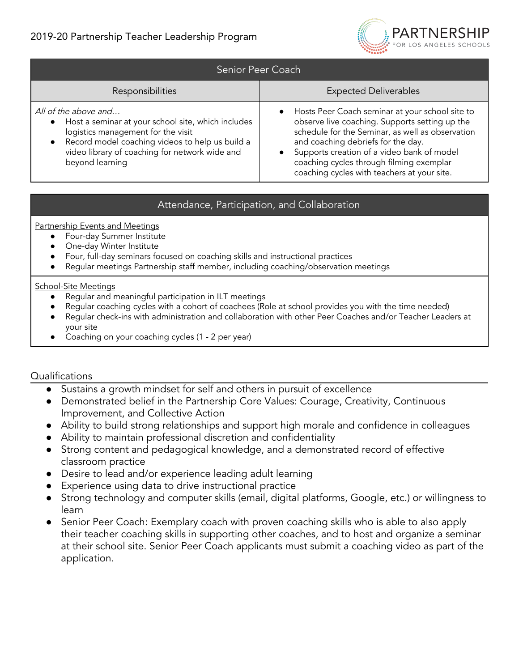

| Senior Peer Coach                                                                                                                                                                                                                                       |                                                                                                                                                                                                                                                                                                                                      |
|---------------------------------------------------------------------------------------------------------------------------------------------------------------------------------------------------------------------------------------------------------|--------------------------------------------------------------------------------------------------------------------------------------------------------------------------------------------------------------------------------------------------------------------------------------------------------------------------------------|
| Responsibilities                                                                                                                                                                                                                                        | <b>Expected Deliverables</b>                                                                                                                                                                                                                                                                                                         |
| All of the above and<br>• Host a seminar at your school site, which includes<br>logistics management for the visit<br>Record model coaching videos to help us build a<br>$\bullet$<br>video library of coaching for network wide and<br>beyond learning | Hosts Peer Coach seminar at your school site to<br>observe live coaching. Supports setting up the<br>schedule for the Seminar, as well as observation<br>and coaching debriefs for the day.<br>Supports creation of a video bank of model<br>coaching cycles through filming exemplar<br>coaching cycles with teachers at your site. |

## Attendance, Participation, and Collaboration

Partnership Events and Meetings

- Four-day Summer Institute
- One-day Winter Institute
- Four, full-day seminars focused on coaching skills and instructional practices
- Regular meetings Partnership staff member, including coaching/observation meetings

#### School-Site Meetings

- Regular and meaningful participation in ILT meetings
- Regular coaching cycles with a cohort of coachees (Role at school provides you with the time needed)
- Regular check-ins with administration and collaboration with other Peer Coaches and/or Teacher Leaders at your site
- Coaching on your coaching cycles (1 2 per year)

- Sustains a growth mindset for self and others in pursuit of excellence
- Demonstrated belief in the Partnership Core Values: Courage, Creativity, Continuous Improvement, and Collective Action
- Ability to build strong relationships and support high morale and confidence in colleagues
- Ability to maintain professional discretion and confidentiality
- Strong content and pedagogical knowledge, and a demonstrated record of effective classroom practice
- Desire to lead and/or experience leading adult learning
- Experience using data to drive instructional practice
- Strong technology and computer skills (email, digital platforms, Google, etc.) or willingness to learn
- Senior Peer Coach: Exemplary coach with proven coaching skills who is able to also apply their teacher coaching skills in supporting other coaches, and to host and organize a seminar at their school site. Senior Peer Coach applicants must submit a coaching video as part of the application.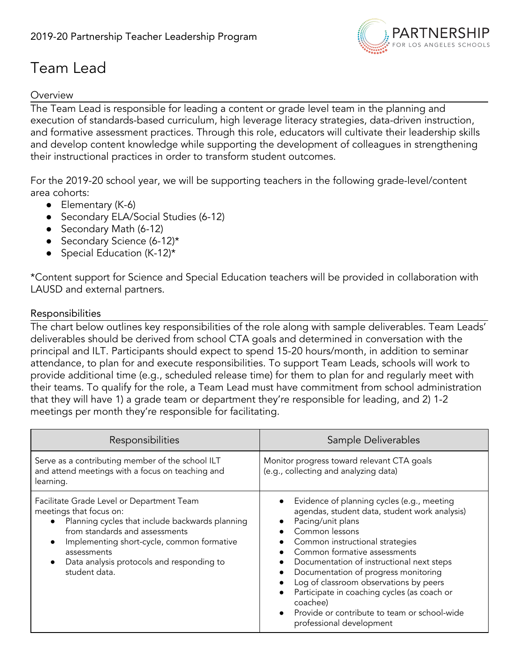

# Team Lead

## **Overview**

The Team Lead is responsible for leading a content or grade level team in the planning and execution of standards-based curriculum, high leverage literacy strategies, data-driven instruction, and formative assessment practices. Through this role, educators will cultivate their leadership skills and develop content knowledge while supporting the development of colleagues in strengthening their instructional practices in order to transform student outcomes.

For the 2019-20 school year, we will be supporting teachers in the following grade-level/content area cohorts:

- Elementary (K-6)
- Secondary ELA/Social Studies (6-12)
- Secondary Math (6-12)
- Secondary Science (6-12)\*
- Special Education (K-12)\*

\*Content support for Science and Special Education teachers will be provided in collaboration with LAUSD and external partners.

## Responsibilities

The chart below outlines key responsibilities of the role along with sample deliverables. Team Leads' deliverables should be derived from school CTA goals and determined in conversation with the principal and ILT. Participants should expect to spend 15-20 hours/month, in addition to seminar attendance, to plan for and execute responsibilities. To support Team Leads, schools will work to provide additional time (e.g., scheduled release time) for them to plan for and regularly meet with their teams. To qualify for the role, a Team Lead must have commitment from school administration that they will have 1) a grade team or department they're responsible for leading, and 2) 1-2 meetings per month they're responsible for facilitating.

| Responsibilities                                                                                                                                                                                                                                                                                                 | Sample Deliverables                                                                                                                                                                                                                                                                                                                                                                                                                                                         |
|------------------------------------------------------------------------------------------------------------------------------------------------------------------------------------------------------------------------------------------------------------------------------------------------------------------|-----------------------------------------------------------------------------------------------------------------------------------------------------------------------------------------------------------------------------------------------------------------------------------------------------------------------------------------------------------------------------------------------------------------------------------------------------------------------------|
| Serve as a contributing member of the school ILT<br>and attend meetings with a focus on teaching and<br>learning.                                                                                                                                                                                                | Monitor progress toward relevant CTA goals<br>(e.g., collecting and analyzing data)                                                                                                                                                                                                                                                                                                                                                                                         |
| Facilitate Grade Level or Department Team<br>meetings that focus on:<br>• Planning cycles that include backwards planning<br>from standards and assessments<br>Implementing short-cycle, common formative<br>$\bullet$<br>assessments<br>Data analysis protocols and responding to<br>$\bullet$<br>student data. | Evidence of planning cycles (e.g., meeting<br>agendas, student data, student work analysis)<br>Pacing/unit plans<br>Common lessons<br>Common instructional strategies<br>Common formative assessments<br>Documentation of instructional next steps<br>Documentation of progress monitoring<br>Log of classroom observations by peers<br>Participate in coaching cycles (as coach or<br>coachee)<br>Provide or contribute to team or school-wide<br>professional development |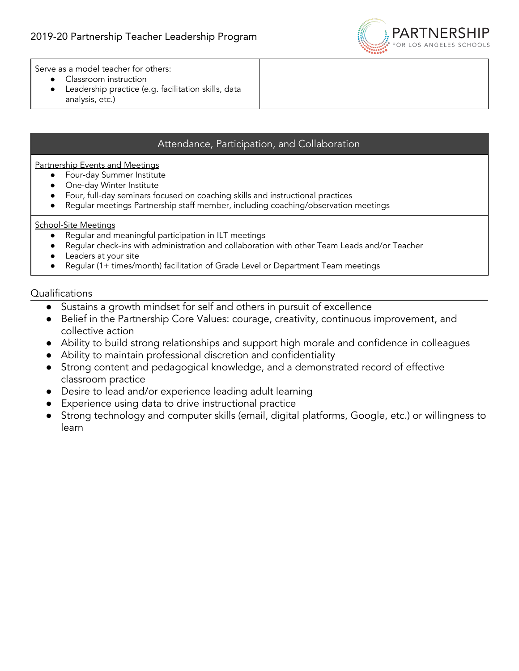

Serve as a model teacher for others:

- Classroom instruction
- Leadership practice (e.g. facilitation skills, data analysis, etc.)

## Attendance, Participation, and Collaboration

Partnership Events and Meetings

- Four-day Summer Institute
- One-day Winter Institute
- Four, full-day seminars focused on coaching skills and instructional practices
- Regular meetings Partnership staff member, including coaching/observation meetings

#### School-Site Meetings

- Regular and meaningful participation in ILT meetings
- Regular check-ins with administration and collaboration with other Team Leads and/or Teacher
- Leaders at your site
- Regular (1+ times/month) facilitation of Grade Level or Department Team meetings

- Sustains a growth mindset for self and others in pursuit of excellence
- Belief in the Partnership Core Values: courage, creativity, continuous improvement, and collective action
- Ability to build strong relationships and support high morale and confidence in colleagues
- Ability to maintain professional discretion and confidentiality
- Strong content and pedagogical knowledge, and a demonstrated record of effective classroom practice
- Desire to lead and/or experience leading adult learning
- Experience using data to drive instructional practice
- Strong technology and computer skills (email, digital platforms, Google, etc.) or willingness to learn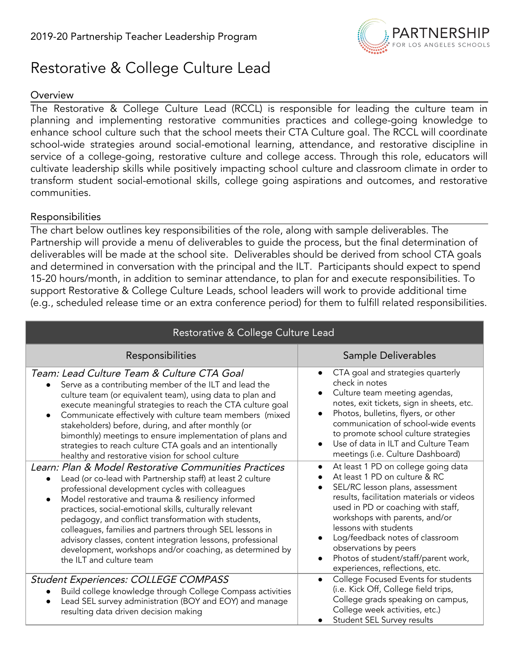

## Restorative & College Culture Lead

## **Overview**

The Restorative & College Culture Lead (RCCL) is responsible for leading the culture team in planning and implementing restorative communities practices and college-going knowledge to enhance school culture such that the school meets their CTA Culture goal. The RCCL will coordinate school-wide strategies around social-emotional learning, attendance, and restorative discipline in service of a college-going, restorative culture and college access. Through this role, educators will cultivate leadership skills while positively impacting school culture and classroom climate in order to transform student social-emotional skills, college going aspirations and outcomes, and restorative communities.

## Responsibilities

The chart below outlines key responsibilities of the role, along with sample deliverables. The Partnership will provide a menu of deliverables to guide the process, but the final determination of deliverables will be made at the school site. Deliverables should be derived from school CTA goals and determined in conversation with the principal and the ILT. Participants should expect to spend 15-20 hours/month, in addition to seminar attendance, to plan for and execute responsibilities. To support Restorative & College Culture Leads, school leaders will work to provide additional time (e.g., scheduled release time or an extra conference period) for them to fulfill related responsibilities.

| Restorative & College Culture Lead                                                                                                                                                                                                                                                                                                                                                                                                                                                                                                                                               |                                                                                                                                                                                                                                                                                                                                                                                                          |
|----------------------------------------------------------------------------------------------------------------------------------------------------------------------------------------------------------------------------------------------------------------------------------------------------------------------------------------------------------------------------------------------------------------------------------------------------------------------------------------------------------------------------------------------------------------------------------|----------------------------------------------------------------------------------------------------------------------------------------------------------------------------------------------------------------------------------------------------------------------------------------------------------------------------------------------------------------------------------------------------------|
| Responsibilities                                                                                                                                                                                                                                                                                                                                                                                                                                                                                                                                                                 | Sample Deliverables                                                                                                                                                                                                                                                                                                                                                                                      |
| Team: Lead Culture Team & Culture CTA Goal<br>Serve as a contributing member of the ILT and lead the<br>culture team (or equivalent team), using data to plan and<br>execute meaningful strategies to reach the CTA culture goal<br>Communicate effectively with culture team members (mixed<br>$\bullet$<br>stakeholders) before, during, and after monthly (or<br>bimonthly) meetings to ensure implementation of plans and<br>strategies to reach culture CTA goals and an intentionally<br>healthy and restorative vision for school culture                                 | CTA goal and strategies quarterly<br>$\bullet$<br>check in notes<br>Culture team meeting agendas,<br>$\bullet$<br>notes, exit tickets, sign in sheets, etc.<br>Photos, bulletins, flyers, or other<br>$\bullet$<br>communication of school-wide events<br>to promote school culture strategies<br>Use of data in ILT and Culture Team<br>meetings (i.e. Culture Dashboard)                               |
| Learn: Plan & Model Restorative Communities Practices<br>Lead (or co-lead with Partnership staff) at least 2 culture<br>professional development cycles with colleagues<br>Model restorative and trauma & resiliency informed<br>$\bullet$<br>practices, social-emotional skills, culturally relevant<br>pedagogy, and conflict transformation with students,<br>colleagues, families and partners through SEL lessons in<br>advisory classes, content integration lessons, professional<br>development, workshops and/or coaching, as determined by<br>the ILT and culture team | At least 1 PD on college going data<br>At least 1 PD on culture & RC<br>SEL/RC lesson plans, assessment<br>results, facilitation materials or videos<br>used in PD or coaching with staff,<br>workshops with parents, and/or<br>lessons with students<br>Log/feedback notes of classroom<br>$\bullet$<br>observations by peers<br>Photos of student/staff/parent work,<br>experiences, reflections, etc. |
| Student Experiences: COLLEGE COMPASS<br>Build college knowledge through College Compass activities<br>Lead SEL survey administration (BOY and EOY) and manage<br>resulting data driven decision making                                                                                                                                                                                                                                                                                                                                                                           | College Focused Events for students<br>$\bullet$<br>(i.e. Kick Off, College field trips,<br>College grads speaking on campus,<br>College week activities, etc.)<br>Student SEL Survey results                                                                                                                                                                                                            |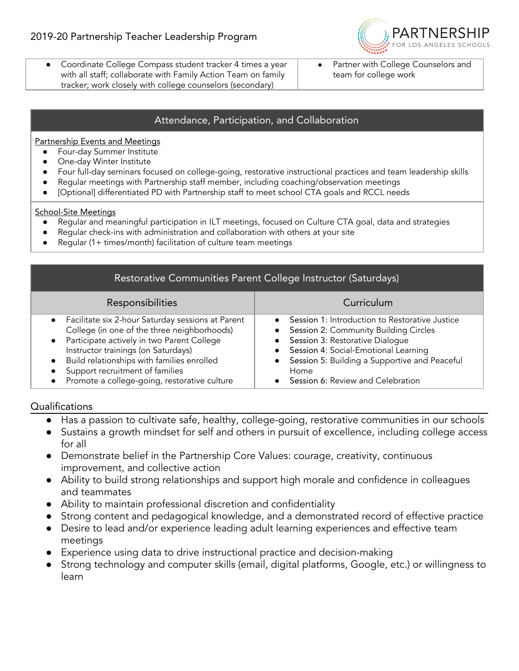

- Coordinate College Compass student tracker 4 times a year with all staff; collaborate with Family Action Team on family tracker; work closely with college counselors (secondary)
- Partner with College Counselors and team for college work

## Attendance, Participation, and Collaboration

Partnership Events and Meetings

- Four-day Summer Institute
- One-day Winter Institute
- Four full-day seminars focused on college-going, restorative instructional practices and team leadership skills
- Regular meetings with Partnership staff member, including coaching/observation meetings
- [Optional] differentiated PD with Partnership staff to meet school CTA goals and RCCL needs

#### School-Site Meetings

- Regular and meaningful participation in ILT meetings, focused on Culture CTA goal, data and strategies
- Regular check-ins with administration and collaboration with others at your site
- Regular (1+ times/month) facilitation of culture team meetings

| Restorative Communities Parent College Instructor (Saturdays)                                                                                                                                                                                                                                                                                    |                                                                                                                                                                                                                                                                  |  |
|--------------------------------------------------------------------------------------------------------------------------------------------------------------------------------------------------------------------------------------------------------------------------------------------------------------------------------------------------|------------------------------------------------------------------------------------------------------------------------------------------------------------------------------------------------------------------------------------------------------------------|--|
| Responsibilities                                                                                                                                                                                                                                                                                                                                 | Curriculum                                                                                                                                                                                                                                                       |  |
| Facilitate six 2-hour Saturday sessions at Parent<br>$\bullet$<br>College (in one of the three neighborhoods)<br>Participate actively in two Parent College<br>$\bullet$<br>Instructor trainings (on Saturdays)<br>Build relationships with families enrolled<br>Support recruitment of families<br>Promote a college-going, restorative culture | Session 1: Introduction to Restorative Justice<br>Session 2: Community Building Circles<br>Session 3: Restorative Dialogue<br>Session 4: Social-Emotional Learning<br>Session 5: Building a Supportive and Peaceful<br>Home<br>Session 6: Review and Celebration |  |

- Has a passion to cultivate safe, healthy, college-going, restorative communities in our schools
- Sustains a growth mindset for self and others in pursuit of excellence, including college access for all
- Demonstrate belief in the Partnership Core Values: courage, creativity, continuous improvement, and collective action
- Ability to build strong relationships and support high morale and confidence in colleagues and teammates
- Ability to maintain professional discretion and confidentiality
- Strong content and pedagogical knowledge, and a demonstrated record of effective practice
- Desire to lead and/or experience leading adult learning experiences and effective team meetings
- Experience using data to drive instructional practice and decision-making
- Strong technology and computer skills (email, digital platforms, Google, etc.) or willingness to learn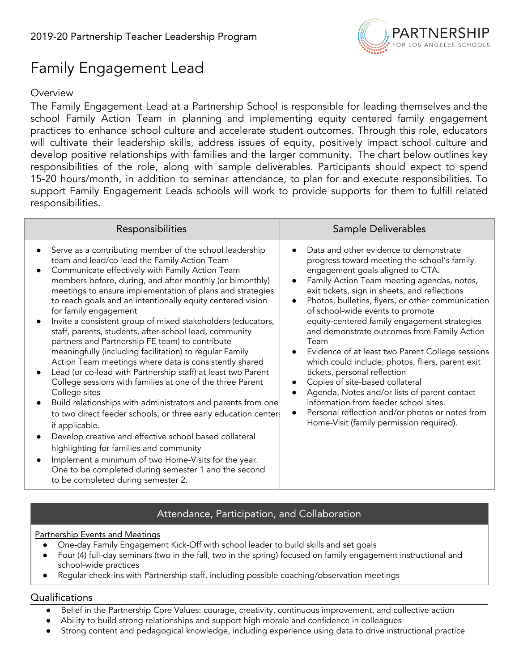

# Family Engagement Lead

## **Overview**

The Family Engagement Lead at a Partnership School is responsible for leading themselves and the school Family Action Team in planning and implementing equity centered family engagement practices to enhance school culture and accelerate student outcomes. Through this role, educators will cultivate their leadership skills, address issues of equity, positively impact school culture and develop positive relationships with families and the larger community. The chart below outlines key responsibilities of the role, along with sample deliverables. Participants should expect to spend 15-20 hours/month, in addition to seminar attendance, to plan for and execute responsibilities. To support Family Engagement Leads schools will work to provide supports for them to fulfill related responsibilities.

| Serve as a contributing member of the school leadership                                                                                                                                                                                                                                                                                                                                                                                                                                                                                                                                                                                                                                                                                                                                                                                                                                                                                                                                                                                                                                                                                                                       | Data and other evidence to demonstrate<br>progress toward meeting the school's family<br>engagement goals aligned to CTA.                                                                                                                                                                                                                                                                                                                                                                                                                                                                                                                                      |
|-------------------------------------------------------------------------------------------------------------------------------------------------------------------------------------------------------------------------------------------------------------------------------------------------------------------------------------------------------------------------------------------------------------------------------------------------------------------------------------------------------------------------------------------------------------------------------------------------------------------------------------------------------------------------------------------------------------------------------------------------------------------------------------------------------------------------------------------------------------------------------------------------------------------------------------------------------------------------------------------------------------------------------------------------------------------------------------------------------------------------------------------------------------------------------|----------------------------------------------------------------------------------------------------------------------------------------------------------------------------------------------------------------------------------------------------------------------------------------------------------------------------------------------------------------------------------------------------------------------------------------------------------------------------------------------------------------------------------------------------------------------------------------------------------------------------------------------------------------|
| team and lead/co-lead the Family Action Team<br>Communicate effectively with Family Action Team<br>members before, during, and after monthly (or bimonthly)<br>meetings to ensure implementation of plans and strategies<br>to reach goals and an intentionally equity centered vision<br>for family engagement<br>Invite a consistent group of mixed stakeholders (educators,<br>staff, parents, students, after-school lead, community<br>partners and Partnership FE team) to contribute<br>meaningfully (including facilitation) to regular Family<br>Action Team meetings where data is consistently shared<br>Lead (or co-lead with Partnership staff) at least two Parent<br>College sessions with families at one of the three Parent<br>College sites<br>Build relationships with administrators and parents from one<br>to two direct feeder schools, or three early education centers<br>if applicable.<br>Develop creative and effective school based collateral<br>highlighting for families and community<br>Implement a minimum of two Home-Visits for the year.<br>One to be completed during semester 1 and the second<br>to be completed during semester 2. | Family Action Team meeting agendas, notes,<br>exit tickets, sign in sheets, and reflections<br>Photos, bulletins, flyers, or other communication<br>of school-wide events to promote<br>equity-centered family engagement strategies<br>and demonstrate outcomes from Family Action<br>Team<br>Evidence of at least two Parent College sessions<br>which could include; photos, fliers, parent exit<br>tickets, personal reflection<br>Copies of site-based collateral<br>Agenda, Notes and/or lists of parent contact<br>information from feeder school sites.<br>Personal reflection and/or photos or notes from<br>Home-Visit (family permission required). |

## Attendance, Participation, and Collaboration

#### Partnership Events and Meetings

- One-day Family Engagement Kick-Off with school leader to build skills and set goals
- Four (4) full-day seminars (two in the fall, two in the spring) focused on family engagement instructional and school-wide practices
- Regular check-ins with Partnership staff, including possible coaching/observation meetings

- Belief in the Partnership Core Values: courage, creativity, continuous improvement, and collective action
- Ability to build strong relationships and support high morale and confidence in colleagues
- Strong content and pedagogical knowledge, including experience using data to drive instructional practice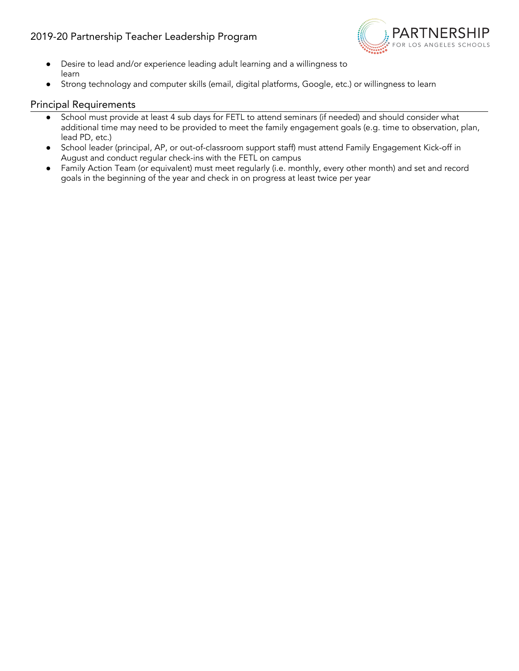## 2019-20 Partnership Teacher Leadership Program



- Desire to lead and/or experience leading adult learning and a willingness to learn
- Strong technology and computer skills (email, digital platforms, Google, etc.) or willingness to learn

#### Principal Requirements

- School must provide at least 4 sub days for FETL to attend seminars (if needed) and should consider what additional time may need to be provided to meet the family engagement goals (e.g. time to observation, plan, lead PD, etc.)
- School leader (principal, AP, or out-of-classroom support staff) must attend Family Engagement Kick-off in August and conduct regular check-ins with the FETL on campus
- Family Action Team (or equivalent) must meet regularly (i.e. monthly, every other month) and set and record goals in the beginning of the year and check in on progress at least twice per year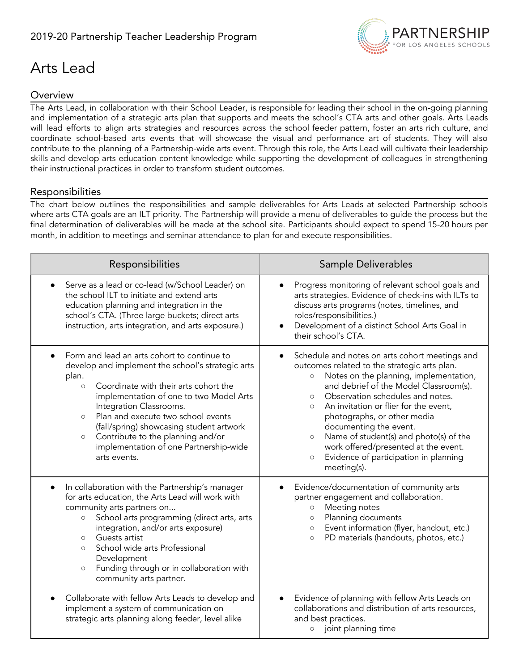

# Arts Lead

## **Overview**

The Arts Lead, in collaboration with their School Leader, is responsible for leading their school in the on-going planning and implementation of a strategic arts plan that supports and meets the school's CTA arts and other goals. Arts Leads will lead efforts to align arts strategies and resources across the school feeder pattern, foster an arts rich culture, and coordinate school-based arts events that will showcase the visual and performance art of students. They will also contribute to the planning of a Partnership-wide arts event. Through this role, the Arts Lead will cultivate their leadership skills and develop arts education content knowledge while supporting the development of colleagues in strengthening their instructional practices in order to transform student outcomes.

### Responsibilities

The chart below outlines the responsibilities and sample deliverables for Arts Leads at selected Partnership schools where arts CTA goals are an ILT priority. The Partnership will provide a menu of deliverables to guide the process but the final determination of deliverables will be made at the school site. Participants should expect to spend 15-20 hours per month, in addition to meetings and seminar attendance to plan for and execute responsibilities.

| Responsibilities                                                                                                                                                                                                                                                                                                                                                                                                                                        | Sample Deliverables                                                                                                                                                                                                                                                                                                                                                                                                                                                                                                       |
|---------------------------------------------------------------------------------------------------------------------------------------------------------------------------------------------------------------------------------------------------------------------------------------------------------------------------------------------------------------------------------------------------------------------------------------------------------|---------------------------------------------------------------------------------------------------------------------------------------------------------------------------------------------------------------------------------------------------------------------------------------------------------------------------------------------------------------------------------------------------------------------------------------------------------------------------------------------------------------------------|
| Serve as a lead or co-lead (w/School Leader) on<br>$\bullet$<br>the school ILT to initiate and extend arts<br>education planning and integration in the<br>school's CTA. (Three large buckets; direct arts<br>instruction, arts integration, and arts exposure.)                                                                                                                                                                                        | Progress monitoring of relevant school goals and<br>arts strategies. Evidence of check-ins with ILTs to<br>discuss arts programs (notes, timelines, and<br>roles/responsibilities.)<br>Development of a distinct School Arts Goal in<br>their school's CTA.                                                                                                                                                                                                                                                               |
| Form and lead an arts cohort to continue to<br>$\bullet$<br>develop and implement the school's strategic arts<br>plan.<br>Coordinate with their arts cohort the<br>$\circ$<br>implementation of one to two Model Arts<br>Integration Classrooms.<br>Plan and execute two school events<br>$\circ$<br>(fall/spring) showcasing student artwork<br>Contribute to the planning and/or<br>$\circ$<br>implementation of one Partnership-wide<br>arts events. | Schedule and notes on arts cohort meetings and<br>outcomes related to the strategic arts plan.<br>Notes on the planning, implementation,<br>$\circ$<br>and debrief of the Model Classroom(s).<br>Observation schedules and notes.<br>$\circ$<br>An invitation or flier for the event,<br>$\circ$<br>photographs, or other media<br>documenting the event.<br>Name of student(s) and photo(s) of the<br>$\circ$<br>work offered/presented at the event.<br>Evidence of participation in planning<br>$\circ$<br>meeting(s). |
| In collaboration with the Partnership's manager<br>$\bullet$<br>for arts education, the Arts Lead will work with<br>community arts partners on<br>School arts programming (direct arts, arts<br>$\circ$<br>integration, and/or arts exposure)<br>Guests artist<br>$\circ$<br>School wide arts Professional<br>$\circ$<br>Development<br>Funding through or in collaboration with<br>$\circ$<br>community arts partner.                                  | Evidence/documentation of community arts<br>partner engagement and collaboration.<br>Meeting notes<br>$\circ$<br>Planning documents<br>$\circ$<br>Event information (flyer, handout, etc.)<br>$\circ$<br>PD materials (handouts, photos, etc.)<br>$\circ$                                                                                                                                                                                                                                                                 |
| Collaborate with fellow Arts Leads to develop and<br>$\bullet$<br>implement a system of communication on<br>strategic arts planning along feeder, level alike                                                                                                                                                                                                                                                                                           | Evidence of planning with fellow Arts Leads on<br>collaborations and distribution of arts resources,<br>and best practices.<br>joint planning time<br>$\circ$                                                                                                                                                                                                                                                                                                                                                             |